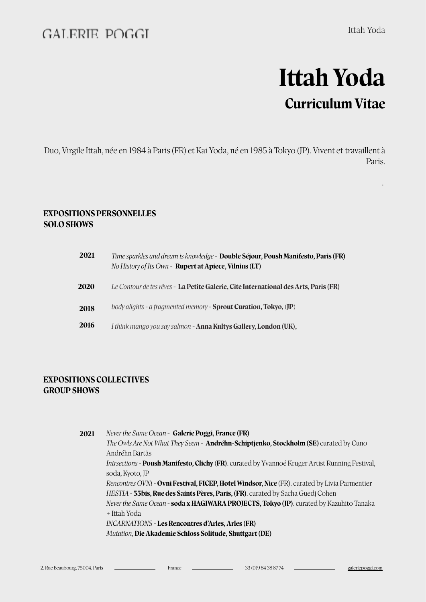.

# **Itah Yoda Curriculum Vitae**

Duo, Virgile Itah, née en 1984 à Paris (FR) et Kai Yoda, né en 1985 à Tokyo (JP). Vivent et travaillent à Paris.

#### **EXPOSITIONS PERSONNELLES SOLO SHOWS**

| 2021 | Time sparkles and dream is knowledge - Double Séjour, Poush Manifesto, Paris (FR)<br>No History of Its Own - Rupert at Apiece, Vilnius (LT) |
|------|---------------------------------------------------------------------------------------------------------------------------------------------|
| 2020 | Le Contour de tes rêves - La Petite Galerie, Cite International des Arts, Paris (FR)                                                        |
| 2018 | body alights - a fragmented memory - Sprout Curation, Tokyo, (JP)                                                                           |
| 2016 | I think mango you say salmon - <b>Anna Kultys Gallery, London (UK),</b>                                                                     |

### **EXPOSITIONS COLLECTIVES GROUP SHOWS**

*Never the Same Ocean -* **Galerie Poggi, France (FR)**  *The Owls Are Not What They Seem -* **Andréhn-Schiptjenko, Stockholm (SE)** curated by Cuno Andréhn Bärtås *Intrsections -* **Poush Manifesto, Clichy** (**FR)**. curated by Yvannoé Kruger Artist Running Festival, soda, Kyoto, JP *Rencontres OVNi -* **Ovni Festival, FICEP, Hotel Windsor, Nice** (FR). curated by Livia Parmentier *HESTIA -* **55bis, Rue des Saints Pères, Paris, (FR)**. curated by Sacha Guedj Cohen *Never the Same Ocean -* **soda x HAGIWARA PROJECTS, Tokyo (JP)**. curated by Kazuhito Tanaka + Itah Yoda *INCARNATIONS -* **Les Rencontres d'Arles, Arles (FR)** *Mutation*, **Die Akademie Schloss Solitude, Shutgart (DE) 2021**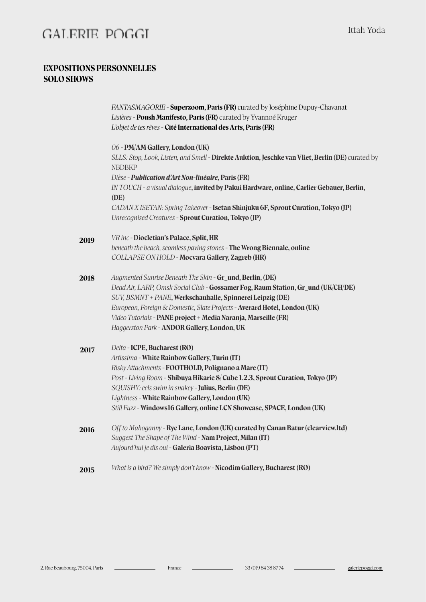### GALERIE POGGI

#### **EXPOSITIONS PERSONNELLES SOLO SHOWS**

*FANTASMAGORIE -* **Superzoom, Paris (FR)** curated by Joséphine Dupuy-Chavanat *Lisières -* **Poush Manifesto, Paris (FR)** curated by Yvannoé Kruger *L'objet de tes rêves* - **Cité International des Arts, Paris (FR)**  *06 -* **PM/AM Gallery, London (UK)**  *SLLS: Stop, Look, Listen, and Smell -* **Direkte Auktion, Jeschke van Vliet, Berlin (DE)** curated by NBDBKP *Dièse - Publication d'Art Non-linéaire,* **Paris (FR)** *IN TOUCH - a visual dialogue***, invited by Pakui Hardware, online, Carlier Gebauer, Berlin, (DE)**  *CADAN X ISETAN: Spring Takeover -* **Isetan Shinjuku 6F, Sprout Curation, Tokyo (JP)**  *Unrecognised Creatures -* **Sprout Curation, Tokyo (JP)**  *VR inc -* **Diocletian's Palace, Split, HR**  *beneath the beach, seamless paving stones -* **The Wrong Biennale, online**  *COLLAPSE ON HOLD -* **Mocvara Gallery, Zagreb (HR)**  *Augmented Sunrise Beneath The Skin -* **Gr\_und, Berlin, (DE)**  *Dead Air, LARP, Omsk Social Club -* **Gossamer Fog, Raum Station, Gr\_und (UK/CH/DE)**  *SUV, BSMNT + PANE***, Werkschauhalle, Spinnerei Leipzig (DE)**  *European, Foreign & Domestic, Slate Projects -* **Averard Hotel, London (UK)**  *Video Tutorials -* **PANE project + Media Naranja, Marseille (FR)**  *Haggerston Park -* **ANDOR Gallery, London, UK**  *Delta -* **ICPE, Bucharest (RO)**  *Artissima -* **White Rainbow Gallery, Turin (IT)**  *Risky Atachments -* **FOOTHOLD, Polignano a Mare (IT)**  *Post - Living Room -* **Shibuya Hikarie 8/ Cube 1.2.3, Sprout Curation, Tokyo (JP)**  *SQUISHY: eels swim in snakey -* **Julius, Berlin (DE)**  *Lightness -* **White Rainbow Gallery, London (UK)**  *Still Fuzz -* **Windows16 Gallery, online LCN Showcase, SPACE, London (UK)**  *Off to Mahoganny -* **Rye Lane, London (UK) curated by Canan Batur (clearview.ltd)**  *Suggest The Shape of The Wind -* **Nam Project, Milan (IT)**  *Aujourd'hui je dis oui -* **Galeria Boavista, Lisbon (PT)**  *What is a bird? We simply don't know -* **Nicodim Gallery, Bucharest (RO) 2017 2016 2015 2019 2018**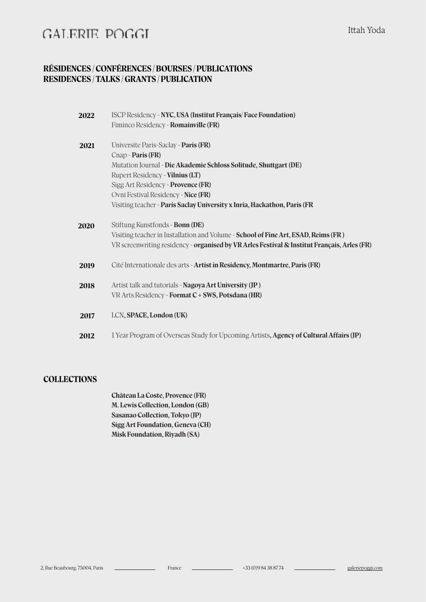## GALERIE POGGI

### **RÉSIDENCES / CONFÉRENCES / BOURSES / PUBLICATIONS RESIDENCES / TALKS / GRANTS / PUBLICATION**

| 2022 | ISCP Residency - NYC, USA (Institut Français/Face Foundation)                                                                                                                     |
|------|-----------------------------------------------------------------------------------------------------------------------------------------------------------------------------------|
|      | Fiminco Residency - Romainville (FR)                                                                                                                                              |
| 2021 | Universite Paris-Saclay - Paris (FR)                                                                                                                                              |
|      | Cnap - Paris (FR)                                                                                                                                                                 |
|      | Mutation Journal - Die Akademie Schloss Solitude, Shuttgart (DE)                                                                                                                  |
|      | Rupert Residency - <b>Vilnius (LT)</b>                                                                                                                                            |
|      | Sigg Art Residency - Provence (FR)                                                                                                                                                |
|      | Ovni Festival Residency - Nice (FR)                                                                                                                                               |
|      | Visiting teacher - Paris Saclay University x Inria, Hackathon, Paris (FR                                                                                                          |
| 2020 | Stiftung Kunstfonds - Bonn (DE)                                                                                                                                                   |
|      | Visiting teacher in Installation and Volume - School of Fine Art, ESAD, Reims (FR)<br>VR screenwriting residency - organised by VR Arles Festival & Institut Français, Arles (FR) |
| 2019 | Cité Internationale des arts - Artist in Residency, Montmartre, Paris (FR)                                                                                                        |
| 2018 | Artist talk and tutorials - Nagoya Art University (JP)<br>VR Arts Residency - Format C + SWS, Potsdana (HR)                                                                       |
|      |                                                                                                                                                                                   |
| 2017 | LCN, SPACE, London (UK)                                                                                                                                                           |
| 2012 | 1 Year Program of Overseas Study for Upcoming Artists, Agency of Cultural Affairs (JP)                                                                                            |

### **COLLECTIONS**

**Château La Coste, Provence (FR) M. Lewis Collection, London (GB) Sasanao Collection, Tokyo (JP) Sigg Art Foundation, Geneva (CH) Misk Foundation, Riyadh (SA)**